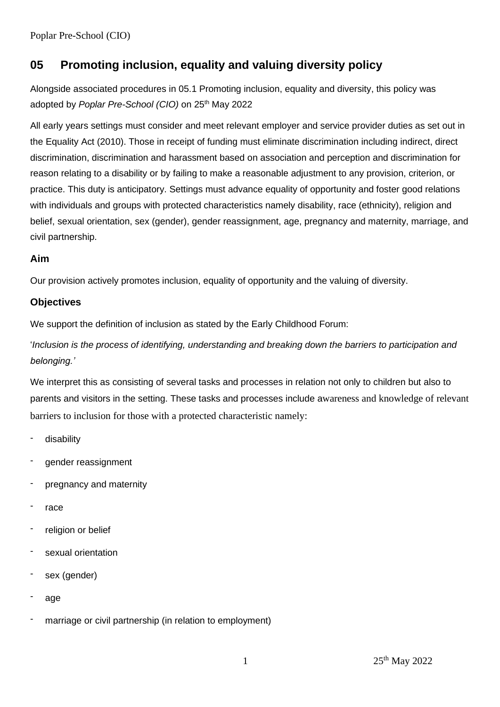Poplar Pre-School (CIO)

# **05 Promoting inclusion, equality and valuing diversity policy**

Alongside associated procedures in 05.1 Promoting inclusion, equality and diversity, this policy was adopted by *Poplar Pre-School (CIO)* on 25<sup>th</sup> May 2022

All early years settings must consider and meet relevant employer and service provider duties as set out in the Equality Act (2010). Those in receipt of funding must eliminate discrimination including indirect, direct discrimination, discrimination and harassment based on association and perception and discrimination for reason relating to a disability or by failing to make a reasonable adjustment to any provision, criterion, or practice. This duty is anticipatory. Settings must advance equality of opportunity and foster good relations with individuals and groups with protected characteristics namely disability, race (ethnicity), religion and belief, sexual orientation, sex (gender), gender reassignment, age, pregnancy and maternity, marriage, and civil partnership.

# **Aim**

Our provision actively promotes inclusion, equality of opportunity and the valuing of diversity.

# **Objectives**

We support the definition of inclusion as stated by the Early Childhood Forum:

'*Inclusion is the process of identifying, understanding and breaking down the barriers to participation and belonging.'*

We interpret this as consisting of several tasks and processes in relation not only to children but also to parents and visitors in the setting. These tasks and processes include awareness and knowledge of relevant barriers to inclusion for those with a protected characteristic namely:

- disability
- gender reassignment
- pregnancy and maternity
- race
- religion or belief
- sexual orientation
- sex (gender)
- age
- marriage or civil partnership (in relation to employment)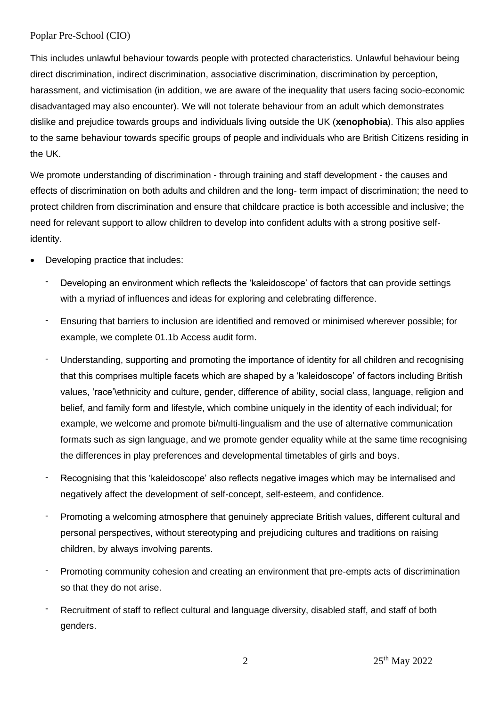### Poplar Pre-School (CIO)

This includes unlawful behaviour towards people with protected characteristics. Unlawful behaviour being direct discrimination, indirect discrimination, associative discrimination, discrimination by perception, harassment, and victimisation (in addition, we are aware of the inequality that users facing socio-economic disadvantaged may also encounter). We will not tolerate behaviour from an adult which demonstrates dislike and prejudice towards groups and individuals living outside the UK (**xenophobia**). This also applies to the same behaviour towards specific groups of people and individuals who are British Citizens residing in the UK.

We promote understanding of discrimination - through training and staff development - the causes and effects of discrimination on both adults and children and the long- term impact of discrimination; the need to protect children from discrimination and ensure that childcare practice is both accessible and inclusive; the need for relevant support to allow children to develop into confident adults with a strong positive selfidentity.

- Developing practice that includes:
	- Developing an environment which reflects the 'kaleidoscope' of factors that can provide settings with a myriad of influences and ideas for exploring and celebrating difference.
	- Ensuring that barriers to inclusion are identified and removed or minimised wherever possible; for example, we complete 01.1b Access audit form.
	- Understanding, supporting and promoting the importance of identity for all children and recognising that this comprises multiple facets which are shaped by a 'kaleidoscope' of factors including British values, 'race'\ethnicity and culture, gender, difference of ability, social class, language, religion and belief, and family form and lifestyle, which combine uniquely in the identity of each individual; for example, we welcome and promote bi/multi-lingualism and the use of alternative communication formats such as sign language, and we promote gender equality while at the same time recognising the differences in play preferences and developmental timetables of girls and boys.
	- Recognising that this 'kaleidoscope' also reflects negative images which may be internalised and negatively affect the development of self-concept, self-esteem, and confidence.
	- Promoting a welcoming atmosphere that genuinely appreciate British values, different cultural and personal perspectives, without stereotyping and prejudicing cultures and traditions on raising children, by always involving parents.
	- Promoting community cohesion and creating an environment that pre-empts acts of discrimination so that they do not arise.
	- Recruitment of staff to reflect cultural and language diversity, disabled staff, and staff of both genders.